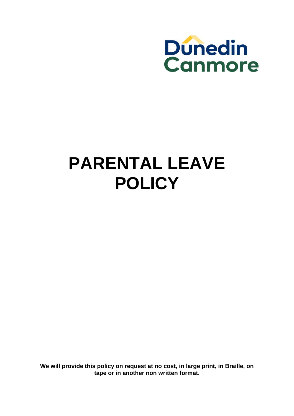

# **PARENTAL LEAVE POLICY**

**We will provide this policy on request at no cost, in large print, in Braille, on tape or in another non written format.**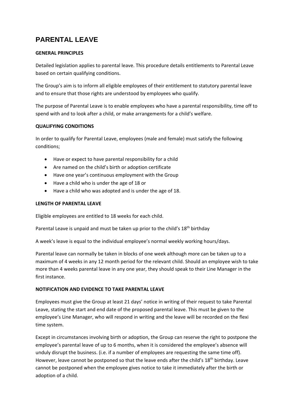# **PARENTAL LEAVE**

## **GENERAL PRINCIPLES**

Detailed legislation applies to parental leave. This procedure details entitlements to Parental Leave based on certain qualifying conditions.

The Group's aim is to inform all eligible employees of their entitlement to statutory parental leave and to ensure that those rights are understood by employees who qualify.

The purpose of Parental Leave is to enable employees who have a parental responsibility, time off to spend with and to look after a child, or make arrangements for a child's welfare.

### **QUALIFYING CONDITIONS**

In order to qualify for Parental Leave, employees (male and female) must satisfy the following conditions;

- Have or expect to have parental responsibility for a child
- Are named on the child's birth or adoption certificate
- Have one year's continuous employment with the Group
- Have a child who is under the age of 18 or
- Have a child who was adopted and is under the age of 18.

#### **LENGTH OF PARENTAL LEAVE**

Eligible employees are entitled to 18 weeks for each child.

Parental Leave is unpaid and must be taken up prior to the child's 18<sup>th</sup> birthday

A week's leave is equal to the individual employee's normal weekly working hours/days.

Parental leave can normally be taken in blocks of one week although more can be taken up to a maximum of 4 weeks in any 12 month period for the relevant child. Should an employee wish to take more than 4 weeks parental leave in any one year, they should speak to their Line Manager in the first instance.

#### **NOTIFICATION AND EVIDENCE TO TAKE PARENTAL LEAVE**

Employees must give the Group at least 21 days' notice in writing of their request to take Parental Leave, stating the start and end date of the proposed parental leave. This must be given to the employee's Line Manager, who will respond in writing and the leave will be recorded on the flexi time system.

Except in circumstances involving birth or adoption, the Group can reserve the right to postpone the employee's parental leave of up to 6 months, when it is considered the employee's absence will unduly disrupt the business. (i.e. if a number of employees are requesting the same time off). However, leave cannot be postponed so that the leave ends after the child's 18<sup>th</sup> birthday. Leave cannot be postponed when the employee gives notice to take it immediately after the birth or adoption of a child.